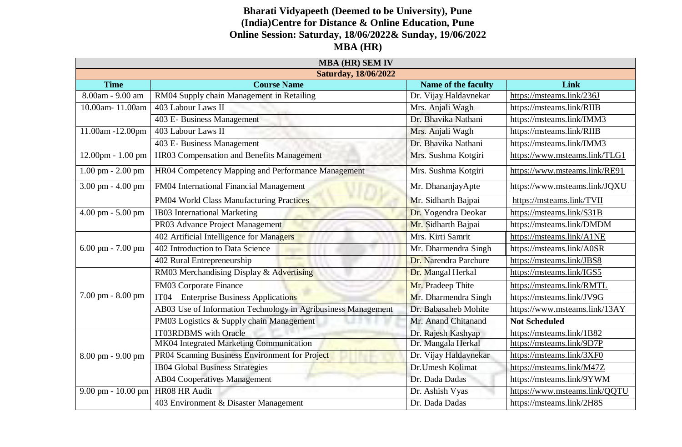## **Bharati Vidyapeeth (Deemed to be University), Pune (India)Centre for Distance & Online Education, Pune Online Session: Saturday, 18/06/2022& Sunday, 19/06/2022 MBA (HR)**

| <b>MBA (HR) SEM IV</b>      |                                                               |                       |                               |  |  |
|-----------------------------|---------------------------------------------------------------|-----------------------|-------------------------------|--|--|
| <b>Saturday, 18/06/2022</b> |                                                               |                       |                               |  |  |
| <b>Time</b>                 | <b>Course Name</b>                                            | Name of the faculty   | Link                          |  |  |
| 8.00am - 9.00 am            | RM04 Supply chain Management in Retailing                     | Dr. Vijay Haldavnekar | https://msteams.link/236J     |  |  |
| 10.00am-11.00am             | 403 Labour Laws II                                            | Mrs. Anjali Wagh      | https://msteams.link/RIIB     |  |  |
|                             | 403 E- Business Management                                    | Dr. Bhavika Nathani   | https://msteams.link/IMM3     |  |  |
| 11.00am -12.00pm            | 403 Labour Laws II                                            | Mrs. Anjali Wagh      | https://msteams.link/RIIB     |  |  |
|                             | 403 E- Business Management                                    | Dr. Bhavika Nathani   | https://msteams.link/IMM3     |  |  |
| $12.00$ pm - $1.00$ pm      | HR03 Compensation and Benefits Management                     | Mrs. Sushma Kotgiri   | https://www.msteams.link/TLG1 |  |  |
| $1.00$ pm $- 2.00$ pm       | HR04 Competency Mapping and Performance Management            | Mrs. Sushma Kotgiri   | https://www.msteams.link/RE91 |  |  |
| 3.00 pm - 4.00 pm           | FM04 International Financial Management                       | Mr. DhananjayApte     | https://www.msteams.link/JQXU |  |  |
|                             | PM04 World Class Manufacturing Practices                      | Mr. Sidharth Bajpai   | https://msteams.link/TVII     |  |  |
| 4.00 pm - 5.00 pm           | IB03 International Marketing                                  | Dr. Yogendra Deokar   | https://msteams.link/S31B     |  |  |
|                             | PR03 Advance Project Management                               | Mr. Sidharth Bajpai   | https://msteams.link/DMDM     |  |  |
| 6.00 pm - 7.00 pm           | 402 Artificial Intelligence for Managers                      | Mrs. Kirti Samrit     | https://msteams.link/A1NE     |  |  |
|                             | 402 Introduction to Data Science                              | Mr. Dharmendra Singh  | https://msteams.link/A0SR     |  |  |
|                             | 402 Rural Entrepreneurship                                    | Dr. Narendra Parchure | https://msteams.link/JBS8     |  |  |
| 7.00 pm - 8.00 pm           | RM03 Merchandising Display & Advertising                      | Dr. Mangal Herkal     | https://msteams.link/IGS5     |  |  |
|                             | <b>FM03 Corporate Finance</b>                                 | Mr. Pradeep Thite     | https://msteams.link/RMTL     |  |  |
|                             | <b>Enterprise Business Applications</b><br>IT <sub>04</sub>   | Mr. Dharmendra Singh  | https://msteams.link/JV9G     |  |  |
|                             | AB03 Use of Information Technology in Agribusiness Management | Dr. Babasaheb Mohite  | https://www.msteams.link/13AY |  |  |
|                             | PM03 Logistics & Supply chain Management                      | Mr. Anand Chitanand   | <b>Not Scheduled</b>          |  |  |
| 8.00 pm - 9.00 pm           | <b>IT03RDBMS</b> with Oracle                                  | Dr. Rajesh Kashyap    | https://msteams.link/1B82     |  |  |
|                             | MK04 Integrated Marketing Communication                       | Dr. Mangala Herkal    | https://msteams.link/9D7P     |  |  |
|                             | PR04 Scanning Business Environment for Project                | Dr. Vijay Haldavnekar | https://msteams.link/3XF0     |  |  |
|                             | <b>IB04 Global Business Strategies</b>                        | Dr.Umesh Kolimat      | https://msteams.link/M47Z     |  |  |
|                             | <b>AB04 Cooperatives Management</b>                           | Dr. Dada Dadas        | https://msteams.link/9YWM     |  |  |
| 9.00 pm - 10.00 pm          | HR08 HR Audit                                                 | Dr. Ashish Vyas       | https://www.msteams.link/QQTU |  |  |
|                             | 403 Environment & Disaster Management                         | Dr. Dada Dadas        | https://msteams.link/2H8S     |  |  |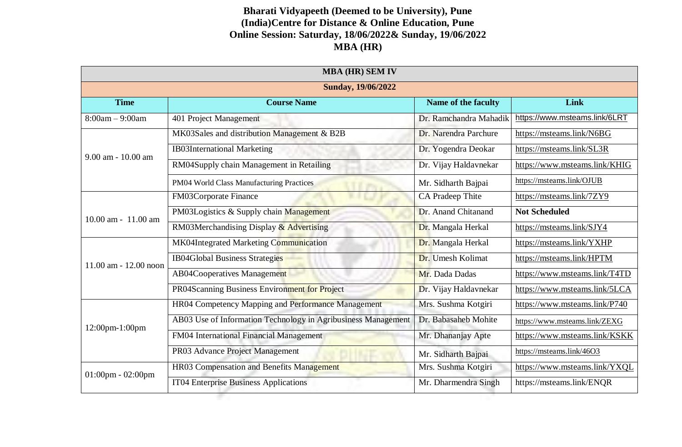## **Bharati Vidyapeeth (Deemed to be University), Pune (India)Centre for Distance & Online Education, Pune Online Session: Saturday, 18/06/2022& Sunday, 19/06/2022 MBA (HR)**

| <b>MBA (HR) SEM IV</b>    |                                                               |                        |                               |  |  |
|---------------------------|---------------------------------------------------------------|------------------------|-------------------------------|--|--|
| <b>Sunday, 19/06/2022</b> |                                                               |                        |                               |  |  |
| <b>Time</b>               | <b>Course Name</b>                                            | Name of the faculty    | Link                          |  |  |
| $8:00am - 9:00am$         | 401 Project Management                                        | Dr. Ramchandra Mahadik | https://www.msteams.link/6LRT |  |  |
| 9.00 am - 10.00 am        | MK03Sales and distribution Management & B2B                   | Dr. Narendra Parchure  | https://msteams.link/N6BG     |  |  |
|                           | <b>IB03International Marketing</b>                            | Dr. Yogendra Deokar    | https://msteams.link/SL3R     |  |  |
|                           | RM04Supply chain Management in Retailing                      | Dr. Vijay Haldavnekar  | https://www.msteams.link/KHIG |  |  |
|                           | PM04 World Class Manufacturing Practices                      | Mr. Sidharth Bajpai    | https://msteams.link/OJUB     |  |  |
| $10.00$ am - $11.00$ am   | FM03Corporate Finance                                         | CA Pradeep Thite       | https://msteams.link/7ZY9     |  |  |
|                           | PM03Logistics & Supply chain Management                       | Dr. Anand Chitanand    | <b>Not Scheduled</b>          |  |  |
|                           | RM03Merchandising Display & Advertising                       | Dr. Mangala Herkal     | https://msteams.link/SJY4     |  |  |
| 11.00 am - 12.00 noon     | MK04Integrated Marketing Communication                        | Dr. Mangala Herkal     | https://msteams.link/YXHP     |  |  |
|                           | <b>IB04Global Business Strategies</b>                         | Dr. Umesh Kolimat      | https://msteams.link/HPTM     |  |  |
|                           | <b>AB04Cooperatives Management</b>                            | Mr. Dada Dadas         | https://www.msteams.link/T4TD |  |  |
|                           | PR04Scanning Business Environment for Project                 | Dr. Vijay Haldavnekar  | https://www.msteams.link/5LCA |  |  |
| 12:00pm-1:00pm            | HR04 Competency Mapping and Performance Management            | Mrs. Sushma Kotgiri    | https://www.msteams.link/P740 |  |  |
|                           | AB03 Use of Information Technology in Agribusiness Management | Dr. Babasaheb Mohite   | https://www.msteams.link/ZEXG |  |  |
|                           | FM04 International Financial Management                       | Mr. Dhananjay Apte     | https://www.msteams.link/KSKK |  |  |
|                           | PR03 Advance Project Management                               | Mr. Sidharth Bajpai    | https://msteams.link/46O3     |  |  |
| $01:00$ pm - $02:00$ pm   | HR03 Compensation and Benefits Management                     | Mrs. Sushma Kotgiri    | https://www.msteams.link/YXQL |  |  |
|                           | IT04 Enterprise Business Applications                         | Mr. Dharmendra Singh   | https://msteams.link/ENQR     |  |  |